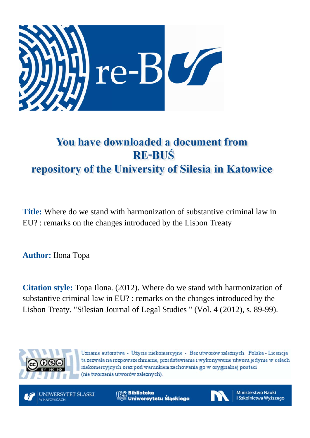

# You have downloaded a document from **RE-BUS** repository of the University of Silesia in Katowice

Title: Where do we stand with harmonization of substantive criminal law in EU? : remarks on the changes introduced by the Lisbon Treaty

**Author:** Ilona Topa

**Citation style:** Topa Ilona. (2012). Where do we stand with harmonization of substantive criminal law in EU? : remarks on the changes introduced by the Lisbon Treaty. "Silesian Journal of Legal Studies " (Vol. 4 (2012), s. 89-99).



Uznanie autorstwa - Użycie niekomercyjne - Bez utworów zależnych Polska - Licencja ta zezwala na rozpowszechnianie, przedstawianie i wykonywanie utworu jedynie w celach niekomercyjnych oraz pod warunkiem zachowania go w oryginalnej postaci (nie tworzenia utworów zależnych).

UNIWERSYTET ŚLĄSKI **V KATOWICACH** 

**MS** Biblioteka Uniwersytetu Śląskiego



**Ministerstwo Nauki** i Szkolnictwa Wyższego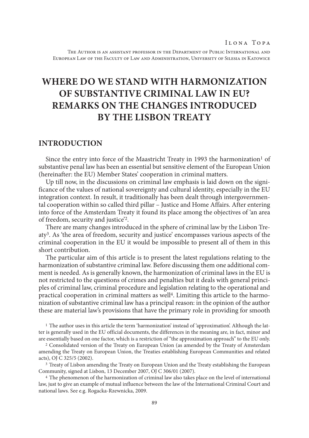The Author is an assistant professor in the Department of Public International and European Law of the Faculty of Law and Administration, University of Silesia in Katowice

# **Where do we stand with harmonization of substantive criminal law in EU? Remarks on the changes introduced by the Lisbon Treaty**

## **Introduction**

Since the entry into force of the Maastricht Treaty in 1993 the harmonization<sup>1</sup> of substantive penal law has been an essential but sensitive element of the European Union (hereinafter: the EU) Member States' cooperation in criminal matters.

Up till now, in the discussions on criminal law emphasis is laid down on the significance of the values of national sovereignty and cultural identity, especially in the EU integration context. In result, it traditionally has been dealt through intergovernmental cooperation within so called third pillar – Justice and Home Affairs. After entering into force of the Amsterdam Treaty it found its place among the objectives of 'an area of freedom, security and justice'2.

There are many changes introduced in the sphere of criminal law by the Lisbon Treaty3. As 'the area of freedom, security and justice' encompasses various aspects of the criminal cooperation in the EU it would be impossible to present all of them in this short contribution.

The particular aim of this article is to present the latest regulations relating to the harmonization of substantive criminal law. Before discussing them one additional comment is needed. As is generally known, the harmonization of criminal laws in the EU is not restricted to the questions of crimes and penalties but it deals with general principles of criminal law, criminal procedure and legislation relating to the operational and practical cooperation in criminal matters as well4. Limiting this article to the harmonization of substantive criminal law has a principal reason: in the opinion of the author these are material law's provisions that have the primary role in providing for smooth

<sup>1</sup> The author uses in this article the term 'harmonization' instead of 'approximation'. Although the latter is generally used in the EU official documents, the differences in the meaning are, in fact, minor and are essentially based on one factor, which is a restriction of "the approximation approach" to the EU only. 2 Consolidated version of the Treaty on European Union (as amended by the Treaty of Amsterdam

amending the Treaty on European Union, the Treaties establishing European Communities and related acts), OJ C 325/5 (2002).

<sup>&</sup>lt;sup>3</sup> Treaty of Lisbon amending the Treaty on European Union and the Treaty establishing the European Community, signed at Lisbon, 13 December 2007, OJ C 306/01 (2007). 4 The phenomenon of the harmonization of criminal law also takes place on the level of international

law, just to give an example of mutual influence between the law of the International Criminal Court and national laws. See e.g. Rogacka-Rzewnicka, 2009.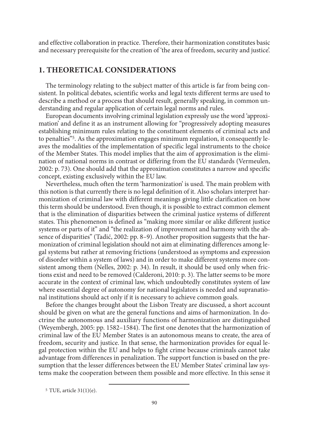and effective collaboration in practice. Therefore, their harmonization constitutes basic and necessary prerequisite for the creation of 'the area of freedom, security and justice'.

# **1. Theoretical considerations**

The terminology relating to the subject matter of this article is far from being consistent. In political debates, scientific works and legal texts different terms are used to describe a method or a process that should result, generally speaking, in common understanding and regular application of certain legal norms and rules.

European documents involving criminal legislation expressly use the word 'approximation' and define it as an instrument allowing for "progressively adopting measures establishing minimum rules relating to the constituent elements of criminal acts and to penalties"5. As the approximation engages minimum regulation, it consequently leaves the modalities of the implementation of specific legal instruments to the choice of the Member States. This model implies that the aim of approximation is the elimination of national norms in contrast or differing from the EU standards (Vermeulen, 2002: p. 73). One should add that the approximation constitutes a narrow and specific concept, existing exclusively within the EU law.

Nevertheless, much often the term 'harmonization' is used. The main problem with this notion is that currently there is no legal definition of it. Also scholars interpret harmonization of criminal law with different meanings giving little clarification on how this term should be understood. Even though, it is possible to extract common element that is the elimination of disparities between the criminal justice systems of different states. This phenomenon is defined as "making more similar or alike different justice systems or parts of it" and "the realization of improvement and harmony with the absence of disparities" (Tadić, 2002: pp. 8–9). Another proposition suggests that the harmonization of criminal legislation should not aim at eliminating differences among legal systems but rather at removing frictions (understood as symptoms and expression of disorder within a system of laws) and in order to make different systems more consistent among them (Nelles, 2002: p. 34). In result, it should be used only when frictions exist and need to be removed (Calderoni, 2010: p. 3). The latter seems to be more accurate in the context of criminal law, which undoubtedly constitutes system of law where essential degree of autonomy for national legislators is needed and supranational institutions should act only if it is necessary to achieve common goals.

Before the changes brought about the Lisbon Treaty are discussed, a short account should be given on what are the general functions and aims of harmonization. In doctrine the autonomous and auxiliary functions of harmonization are distinguished (Weyembergh, 2005: pp. 1582–1584). The first one denotes that the harmonization of criminal law of the EU Member States is an autonomous means to create, the area of freedom, security and justice. In that sense, the harmonization provides for equal legal protection within the EU and helps to fight crime because criminals cannot take advantage from differences in penalization. The support function is based on the presumption that the lesser differences between the EU Member States' criminal law systems make the cooperation between them possible and more effective. In this sense it

<sup>5</sup> TUE, article 31(1)(e).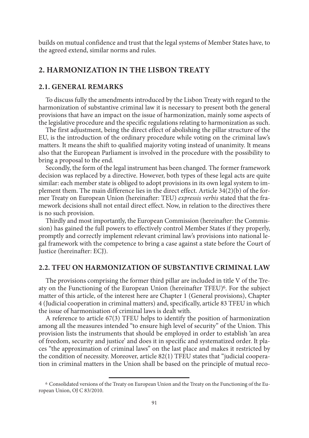builds on mutual confidence and trust that the legal systems of Member States have, to the agreed extend, similar norms and rules.

# **2. Harmonization in the Lisbon Treaty**

#### **2.1. General remarks**

To discuss fully the amendments introduced by the Lisbon Treaty with regard to the harmonization of substantive criminal law it is necessary to present both the general provisions that have an impact on the issue of harmonization, mainly some aspects of the legislative procedure and the specific regulations relating to harmonization as such.

The first adjustment, being the direct effect of abolishing the pillar structure of the EU, is the introduction of the ordinary procedure while voting on the criminal law's matters. It means the shift to qualified majority voting instead of unanimity. It means also that the European Parliament is involved in the procedure with the possibility to bring a proposal to the end.

Secondly, the form of the legal instrument has been changed. The former framework decision was replaced by a directive. However, both types of these legal acts are quite similar: each member state is obliged to adopt provisions in its own legal system to implement them. The main difference lies in the direct effect. Article 34(2)(b) of the former Treaty on European Union (hereinafter: TEU) *expressis verbis* stated that the framework decisions shall not entail direct effect. Now, in relation to the directives there is no such provision.

Thirdly and most importantly, the European Commission (hereinafter: the Commission) has gained the full powers to effectively control Member States if they properly, promptly and correctly implement relevant criminal law's provisions into national legal framework with the competence to bring a case against a state before the Court of Justice (hereinafter: ECJ).

## **2.2. TFEU on harmonization of substantive criminal law**

The provisions comprising the former third pillar are included in title V of the Treaty on the Functioning of the European Union (hereinafter TFEU) $\delta$ . For the subject matter of this article, of the interest here are Chapter 1 (General provisions), Chapter 4 (Judicial cooperation in criminal matters) and, specifically, article 83 TFEU in which the issue of harmonisation of criminal laws is dealt with.

A reference to article 67(3) TFEU helps to identify the position of harmonization among all the measures intended "to ensure high level of security" of the Union. This provision lists the instruments that should be employed in order to establish 'an area of freedom, security and justice' and does it in specific and systematized order. It places "the approximation of criminal laws" on the last place and makes it restricted by the condition of necessity. Moreover, article 82(1) TFEU states that "judicial cooperation in criminal matters in the Union shall be based on the principle of mutual reco-

<sup>6</sup> Consolidated versions of the Treaty on European Union and the Treaty on the Functioning of the European Union, OJ C 83/2010.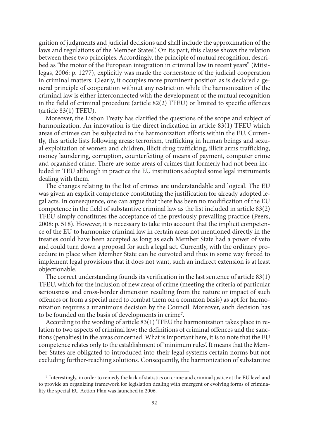gnition of judgments and judicial decisions and shall include the approximation of the laws and regulations of the Member States". On its part, this clause shows the relation between these two principles. Accordingly, the principle of mutual recognition, described as "the motor of the European integration in criminal law in recent years" (Mitsilegas, 2006: p. 1277), explicitly was made the cornerstone of the judicial cooperation in criminal matters. Clearly, it occupies more prominent position as is declared a general principle of cooperation without any restriction while the harmonization of the criminal law is either interconnected with the development of the mutual recognition in the field of criminal procedure (article 82(2) TFEU) or limited to specific offences (article 83(1) TFEU).

Moreover, the Lisbon Treaty has clarified the questions of the scope and subject of harmonization. An innovation is the direct indication in article 83(1) TFEU which areas of crimes can be subjected to the harmonization efforts within the EU. Currently, this article lists following areas: terrorism, trafficking in human beings and sexual exploitation of women and children, illicit drug trafficking, illicit arms trafficking, money laundering, corruption, counterfeiting of means of payment, computer crime and organised crime. There are some areas of crimes that formerly had not been included in TEU although in practice the EU institutions adopted some legal instruments dealing with them.

The changes relating to the list of crimes are understandable and logical. The EU was given an explicit competence constituting the justification for already adopted legal acts. In consequence, one can argue that there has been no modification of the EU competence in the field of substantive criminal law as the list included in article 83(2) TFEU simply constitutes the acceptance of the previously prevailing practice (Peers, 2008: p. 518). However, it is necessary to take into account that the implicit competence of the EU to harmonize criminal law in certain areas not mentioned directly in the treaties could have been accepted as long as each Member State had a power of veto and could turn down a proposal for such a legal act. Currently, with the ordinary procedure in place when Member State can be outvoted and thus in some way forced to implement legal provisions that it does not want, such an indirect extension is at least objectionable.

The correct understanding founds its verification in the last sentence of article 83(1) TFEU, which for the inclusion of new areas of crime (meeting the criteria of particular seriousness and cross-border dimension resulting from the nature or impact of such offences or from a special need to combat them on a common basis) as apt for harmonization requires a unanimous decision by the Council. Moreover, such decision has to be founded on the basis of developments in crime7.

According to the wording of article 83(1) TFEU the harmonization takes place in relation to two aspects of criminal law: the definitions of criminal offences and the sanctions (penalties) in the areas concerned. What is important here, it is to note that the EU competence relates only to the establishment of 'minimum rules'. It means that the Member States are obligated to introduced into their legal systems certain norms but not excluding further-reaching solutions. Consequently, the harmonization of substantive

<sup>7</sup> Interestingly, in order to remedy the lack of statistics on crime and criminal justice at the EU level and to provide an organizing framework for legislation dealing with emergent or evolving forms of criminality the special EU Action Plan was launched in 2006.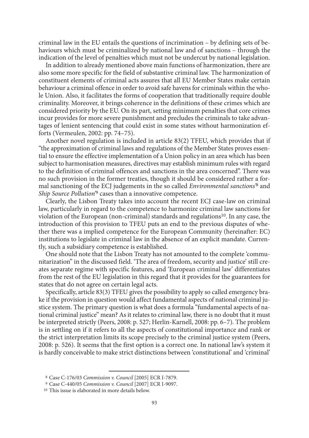criminal law in the EU entails the questions of incrimination – by defining sets of behaviours which must be criminalized by national law and of sanctions – through the indication of the level of penalties which must not be undercut by national legislation.

In addition to already mentioned above main functions of harmonization, there are also some more specific for the field of substantive criminal law. The harmonization of constituent elements of criminal acts assures that all EU Member States make certain behaviour a criminal offence in order to avoid safe havens for criminals within the whole Union. Also, it facilitates the forms of cooperation that traditionally require double criminality. Moreover, it brings coherence in the definitions of these crimes which are considered priority by the EU. On its part, setting minimum penalties that core crimes incur provides for more severe punishment and precludes the criminals to take advantages of lenient sentencing that could exist in some states without harmonization efforts (Vermeulen, 2002: pp. 74–75).

Another novel regulation is included in article 83(2) TFEU, which provides that if "the approximation of criminal laws and regulations of the Member States proves essential to ensure the effective implementation of a Union policy in an area which has been subject to harmonisation measures, directives may establish minimum rules with regard to the definition of criminal offences and sanctions in the area concerned". There was no such provision in the former treaties, though it should be considered rather a formal sanctioning of the ECJ judgements in the so called *Environmental sanctions'*8 and *Ship Source Pollution'*9 cases than a innovative competence.

Clearly, the Lisbon Treaty takes into account the recent ECJ case-law on criminal law, particularly in regard to the competence to harmonize criminal law sanctions for violation of the European (non-criminal) standards and regulations<sup>10</sup>. In any case, the introduction of this provision to TFEU puts an end to the previous disputes of whether there was a implied competence for the European Community (hereinafter: EC) institutions to legislate in criminal law in the absence of an explicit mandate. Currently, such a subsidiary competence is established.

One should note that the Lisbon Treaty has not amounted to the complete 'communitarization" in the discussed field. 'The area of freedom, security and justice' still creates separate regime with specific features, and 'European criminal law' differentiates from the rest of the EU legislation in this regard that it provides for the guarantees for states that do not agree on certain legal acts.

Specifically, article 83(3) TFEU gives the possibility to apply so called emergency brake if the provision in question would affect fundamental aspects of national criminal justice system. The primary question is what does a formula "fundamental aspects of national criminal justice" mean? As it relates to criminal law, there is no doubt that it must be interpreted strictly (Peers, 2008: p. 527; Herlin-Karnell, 2008: pp. 6–7). The problem is in settling on if it refers to all the aspects of constitutional importance and rank or the strict interpretation limits its scope precisely to the criminal justice system (Peers, 2008: p. 526). It seems that the first option is a correct one. In national law's system it is hardly conceivable to make strict distinctions between 'constitutional' and 'criminal'

<sup>8</sup> Case C-176/03 *Commission v. Council* [2005] ECR I-7879.

<sup>9</sup> Case C-440/05 *Commission v. Council* [2007] ECR I-9097.

<sup>10</sup> This issue is elaborated in more details below.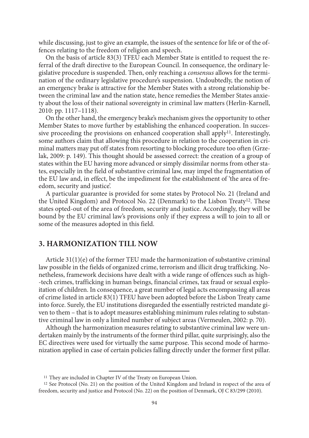while discussing, just to give an example, the issues of the sentence for life or of the offences relating to the freedom of religion and speech.

On the basis of article 83(3) TFEU each Member State is entitled to request the referral of the draft directive to the European Council. In consequence, the ordinary legislative procedure is suspended. Then, only reaching a *consensus* allows for the termination of the ordinary legislative procedure's suspension. Undoubtedly, the notion of an emergency brake is attractive for the Member States with a strong relationship between the criminal law and the nation state, hence remedies the Member States anxiety about the loss of their national sovereignty in criminal law matters (Herlin-Karnell, 2010: pp. 1117–1118).

On the other hand, the emergency brake's mechanism gives the opportunity to other Member States to move further by establishing the enhanced cooperation. In successive proceeding the provisions on enhanced cooperation shall apply<sup>11</sup>. Interestingly, some authors claim that allowing this procedure in relation to the cooperation in criminal matters may put off states from resorting to blocking procedure too often (Grzelak, 2009: p. 149). This thought should be assessed correct: the creation of a group of states within the EU having more advanced or simply dissimilar norms from other states, especially in the field of substantive criminal law, may impel the fragmentation of the EU law and, in effect, be the impediment for the establishment of 'the area of freedom, security and justice'.

A particular guarantee is provided for some states by Protocol No. 21 (Ireland and the United Kingdom) and Protocol No. 22 (Denmark) to the Lisbon Treaty12. These states opted-out of the area of freedom, security and justice. Accordingly, they will be bound by the EU criminal law's provisions only if they express a will to join to all or some of the measures adopted in this field.

# **3. Harmonization till now**

Article 31(1)(e) of the former TEU made the harmonization of substantive criminal law possible in the fields of organized crime, terrorism and illicit drug trafficking. Nonetheless, framework decisions have dealt with a wide range of offences such as high- -tech crimes, trafficking in human beings, financial crimes, tax fraud or sexual exploitation of children. In consequence, a great number of legal acts encompassing all areas of crime listed in article 83(1) TFEU have been adopted before the Lisbon Treaty came into force. Surely, the EU institutions disregarded the essentially restricted mandate given to them – that is to adopt measures establishing minimum rules relating to substantive criminal law in only a limited number of subject areas (Vermeulen, 2002: p. 70).

Although the harmonization measures relating to substantive criminal law were undertaken mainly by the instruments of the former third pillar, quite surprisingly, also the EC directives were used for virtually the same purpose. This second mode of harmonization applied in case of certain policies falling directly under the former first pillar.

<sup>&</sup>lt;sup>11</sup> They are included in Chapter IV of the Treaty on European Union.

<sup>12</sup> See Protocol (No. 21) on the position of the United Kingdom and Ireland in respect of the area of freedom, security and justice and Protocol (No. 22) on the position of Denmark, OJ C 83/299 (2010).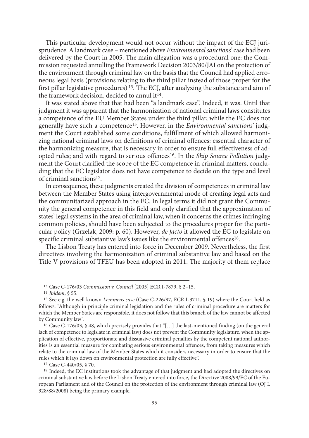This particular development would not occur without the impact of the ECJ jurisprudence. A landmark case – mentioned above *Environmental sanctions'* case had been delivered by the Court in 2005. The main allegation was a procedural one: the Commission requested annulling the Framework Decision 2003/80/JAI on the protection of the environment through criminal law on the basis that the Council had applied erroneous legal basis (provisions relating to the third pillar instead of those proper for the first pillar legislative procedures) 13. The ECJ, after analyzing the substance and aim of the framework decision, decided to annul it<sup>14</sup>.

It was stated above that that had been "a landmark case". Indeed, it was. Until that judgment it was apparent that the harmonization of national criminal laws constitutes a competence of the EU Member States under the third pillar, while the EC does not generally have such a competence15. However, in the *Environmental sanctions'* judgment the Court established some conditions, fulfillment of which allowed harmonizing national criminal laws on definitions of criminal offences: essential character of the harmonizing measure; that is necessary in order to ensure full effectiveness of adopted rules; and with regard to serious offences16. In the *Ship Source Pollution* judgment the Court clarified the scope of the EC competence in criminal matters, concluding that the EC legislator does not have competence to decide on the type and level of criminal sanctions17.

In consequence, these judgments created the division of competences in criminal law between the Member States using intergovernmental mode of creating legal acts and the communitarized approach in the EC. In legal terms it did not grant the Community the general competence in this field and only clarified that the approximation of states' legal systems in the area of criminal law, when it concerns the crimes infringing common policies, should have been subjected to the procedures proper for the particular policy (Grzelak, 2009: p. 60). However, *de facto* it allowed the EC to legislate on specific criminal substantive law's issues like the environmental offences<sup>18</sup>.

The Lisbon Treaty has entered into force in December 2009. Nevertheless, the first directives involving the harmonization of criminal substantive law and based on the Title V provisions of TFEU has been adopted in 2011. The majority of them replace

<sup>17</sup> Case C-440/05, § 70.

<sup>18</sup> Indeed, the EC institutions took the advantage of that judgment and had adopted the directives on criminal substantive law before the Lisbon Treaty entered into force, the Directive 2008/99/EC of the European Parliament and of the Council on the protection of the environment through criminal law (OJ L 328/88/2008) being the primary example.

<sup>13</sup> Case C-176/03 *Commission v. Council* [2005] ECR I-7879, § 2–15.

<sup>&</sup>lt;sup>15</sup> See e.g. the well known *Lemmens case* (Case C-226/97, ECR I-3711, § 19) where the Court held as follows: "Although in principle criminal legislation and the rules of criminal procedure are matters for which the Member States are responsible, it does not follow that this branch of the law cannot be affected by Community law".

<sup>16</sup> Case C-176/03, § 48, which precisely provides that "[…] the last-mentioned finding (on the general lack of competence to legislate in criminal law) does not prevent the Community legislature, when the application of effective, proportionate and dissuasive criminal penalties by the competent national authorities is an essential measure for combating serious environmental offences, from taking measures which relate to the criminal law of the Member States which it considers necessary in order to ensure that the rules which it lays down on environmental protection are fully effective".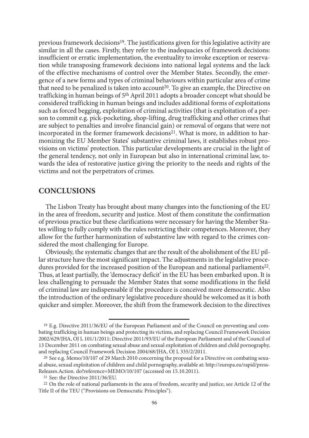previous framework decisions19. The justifications given for this legislative activity are similar in all the cases. Firstly, they refer to the inadequacies of framework decisions: insufficient or erratic implementation, the eventuality to invoke exception or reservation while transposing framework decisions into national legal systems and the lack of the effective mechanisms of control over the Member States. Secondly, the emergence of a new forms and types of criminal behaviours within particular area of crime that need to be penalized is taken into account20. To give an example, the Directive on trafficking in human beings of 5th April 2011 adopts a broader concept what should be considered trafficking in human beings and includes additional forms of exploitations such as forced begging, exploitation of criminal activities (that is exploitation of a person to commit e.g. pick-pocketing, shop-lifting, drug trafficking and other crimes that are subject to penalties and involve financial gain) or removal of organs that were not incorporated in the former framework decisions<sup>21</sup>. What is more, in addition to harmonizing the EU Member States' substantive criminal laws, it establishes robust provisions on victims' protection. This particular developments are crucial in the light of the general tendency, not only in European but also in international criminal law, towards the idea of restorative justice giving the priority to the needs and rights of the victims and not the perpetrators of crimes.

# **Conclusions**

The Lisbon Treaty has brought about many changes into the functioning of the EU in the area of freedom, security and justice. Most of them constitute the confirmation of previous practice but these clarifications were necessary for having the Member States willing to fully comply with the rules restricting their competences. Moreover, they allow for the further harmonization of substantive law with regard to the crimes considered the most challenging for Europe.

Obviously, the systematic changes that are the result of the abolishment of the EU pillar structure have the most significant impact. The adjustments in the legislative procedures provided for the increased position of the European and national parliaments22. Thus, at least partially, the 'democracy deficit' in the EU has been embarked upon. It is less challenging to persuade the Member States that some modifications in the field of criminal law are indispensable if the procedure is conceived more democratic. Also the introduction of the ordinary legislative procedure should be welcomed as it is both quicker and simpler. Moreover, the shift from the framework decision to the directives

<sup>19</sup> E.g. Directive 2011/36/EU of the European Parliament and of the Council on preventing and combating trafficking in human beings and protecting its victims, and replacing Council Framework Decision 2002/629/JHA, OJ L 101/1/2011; Directive 2011/93/EU of the European Parliament and of the Council of 13 December 2011 on combating sexual abuse and sexual exploitation of children and child pornography, and replacing Council Framework Decision 2004/68/JHA, OJ L 335/2/2011.<br><sup>20</sup> See e.g. Memo/10/107 of 29 March 2010 concerning the proposal for a Directive on combating sexu-

al abuse, sexual exploitation of children and child pornography, available at: http://europa.eu/rapid/press-Releases.Action. do?reference=MEMO/10/107 (accessed on 15.10.2011).

<sup>&</sup>lt;sup>21</sup> See: the Directive 2011/36/EU.<br><sup>22</sup> On the role of national parliaments in the area of freedom, security and justice, see Article 12 of the Title II of the TEU ("Provisions on Democratic Principles").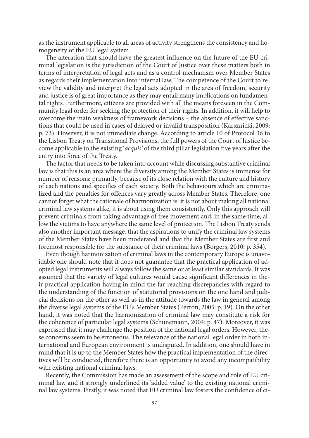as the instrument applicable to all areas of activity strengthens the consistency and homogeneity of the EU legal system.

The alteration that should have the greatest influence on the future of the EU criminal legislation is the jurisdiction of the Court of Justice over these matters both in terms of interpretation of legal acts and as a control mechanism over Member States as regards their implementation into internal law. The competence of the Court to review the validity and interpret the legal acts adopted in the area of freedom, security and justice is of great importance as they may entail many implications on fundamental rights*.* Furthermore, citizens are provided with all the means foreseen in the Community legal order for seeking the protection of their rights. In addition, it will help to overcome the main weakness of framework decisions – the absence of effective sanctions that could be used in cases of delayed or invalid transposition (Karsznicki, 2009: p. 73). However, it is not immediate change. According to article 10 of Protocol 36 to the Lisbon Treaty on Transitional Provisions, the full powers of the Court of Justice become applicable to the existing '*acquis'* of the third pillar legislation five years after the entry into force of the Treaty.

The factor that needs to be taken into account while discussing substantive criminal law is that this is an area where the diversity among the Member States is immense for number of reasons: primarily, because of its close relation with the culture and history of each nations and specifics of each society. Both the behaviours which are criminalized and the penalties for offences vary greatly across Member States. Therefore, one cannot forget what the rationale of harmonization is: it is not about making all national criminal law systems alike, it is about using them consistently. Only this approach will prevent criminals from taking advantage of free movement and, in the same time, allow the victims to have anywhere the same level of protection. The Lisbon Treaty sends also another important message, that the aspirations to unify the criminal law systems of the Member States have been moderated and that the Member States are first and foremost responsible for the substance of their criminal laws (Borgers, 2010: p. 354).

Even though harmonization of criminal laws in the contemporary Europe is unavoidable one should note that it does not guarantee that the practical application of adopted legal instruments will always follow the same or at least similar standards. It was assumed that the variety of legal cultures would cause significant differences in their practical application having in mind the far-reaching discrepancies with regard to the understanding of the function of statutorial provisions on the one hand and judicial decisions on the other as well as in the attitude towards the law in general among the diverse legal systems of the EU's Member States (Perron, 2005: p. 19). On the other hand, it was noted that the harmonization of criminal law may constitute a risk for the coherence of particular legal systems (Schünemann, 2004: p. 47). Moreover, it was expressed that it may challenge the position of the national legal orders. However, these concerns seem to be erroneous. The relevance of the national legal order in both international and European environment is undisputed. In addition, one should have in mind that it is up to the Member States how the practical implementation of the directives will be conducted, therefore there is an opportunity to avoid any incompatibility with existing national criminal laws.

Recently, the Commission has made an assessment of the scope and role of EU criminal law and it strongly underlined its 'added value' to the existing national criminal law systems. Firstly, it was noted that EU criminal law fosters the confidence of ci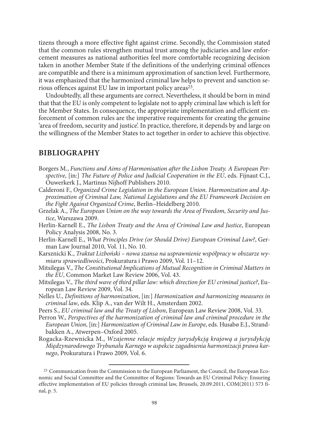tizens through a more effective fight against crime. Secondly, the Commission stated that the common rules strengthen mutual trust among the judiciaries and law enforcement measures as national authorities feel more comfortable recognizing decision taken in another Member State if the definitions of the underlying criminal offences are compatible and there is a minimum approximation of sanction level. Furthermore, it was emphasized that the harmonized criminal law helps to prevent and sanction serious offences against EU law in important policy areas<sup>23</sup>.

Undoubtedly, all these arguments are correct. Nevertheless, it should be born in mind that that the EU is only competent to legislate not to apply criminal law which is left for the Member States. In consequence, the appropriate implementation and efficient enforcement of common rules are the imperative requirements for creating the genuine 'area of freedom, security and justice'. In practice, therefore, it depends by and large on the willingness of the Member States to act together in order to achieve this objective.

# **BIBLIOGRAPHY**

- Borgers M., *Functions and Aims of Harmonisation after the Lisbon Treaty. A European Perspective*, [in:] *The Future of Police and Judicial Cooperation in the EU*, eds. Fijnaut C.J., Ouwerkerk J., Martinus Nijhoff Publishers 2010.
- Calderoni F., *Organized Crime Legislation in the European Union. Harmonization and Approximation of Criminal Law, National Legislations and the EU Framework Decision on the Fight Against Organized Crime*, Berlin–Heidelberg 2010.
- Grzelak A., *The European Union on the way towards the Area of Freedom, Security and Justice*, Warszawa 2009.
- Herlin-Karnell E., *The Lisbon Treaty and the Area of Criminal Law and Justice*, European Policy Analysis 2008, No. 3.
- Herlin-Karnell E., *What Principles Drive (or Should Drive) European Criminal Law?*, German Law Journal 2010, Vol. 11, No. 10.
- Karsznicki K., *Traktat Lizboński nowa szansa na usprawnienie współpracy w obszarze wymiaru sprawiedliwości*, Prokuratura i Prawo 2009, Vol. 11–12.
- Mitsilegas V., *The Constitutional Implications of Mutual Recognition in Criminal Matters in the EU*, Common Market Law Review 2006, Vol. 43.
- Mitsilegas V., *The third wave of third pillar law: which direction for EU criminal justice?*, European Law Review 2009, Vol. 34.
- Nelles U., *Definitions of harmonization*, [in:] *Harmonization and harmonizing measures in criminal law*, eds. Klip A., van der Wilt H., Amsterdam 2002.
- Peers S., *EU criminal law and the Treaty of Lisbon*, European Law Review 2008, Vol. 33.
- Perron W., *Perspectives of the harmonization of criminal law and criminal procedure in the European Union*, [in:] *Harmonization of Criminal Law in Europe*, eds. Husabø E.J., Strandbakken A., Atwerpen–Oxford 2005.
- Rogacka-Rzewnicka M., *Wzajemne relacje między jurysdykcją krajową a jurysdykcją Międzynarodowego Trybunału Karnego w aspekcie zagadnienia harmonizacji prawa karnego*, Prokuratura i Prawo 2009, Vol. 6.

<sup>23</sup> Communication from the Commission to the European Parliament, the Council, the European Economic and Social Committee and the Committee of Regions: Towards an EU Criminal Policy: Ensuring effective implementation of EU policies through criminal law, Brussels, 20.09.2011, COM(2011) 573 final, p. 5.